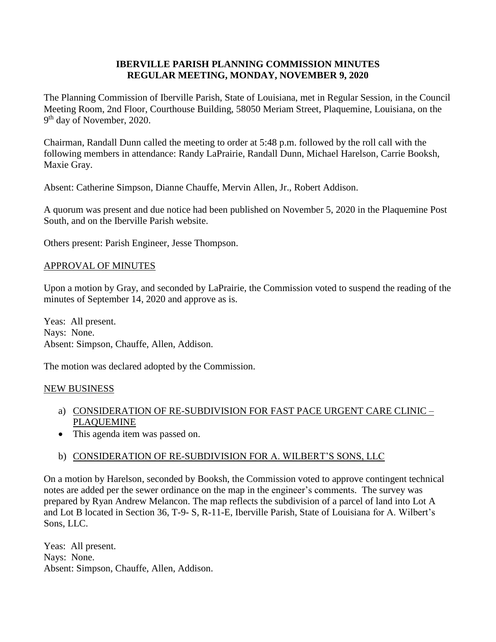## **IBERVILLE PARISH PLANNING COMMISSION MINUTES REGULAR MEETING, MONDAY, NOVEMBER 9, 2020**

The Planning Commission of Iberville Parish, State of Louisiana, met in Regular Session, in the Council Meeting Room, 2nd Floor, Courthouse Building, 58050 Meriam Street, Plaquemine, Louisiana, on the 9<sup>th</sup> day of November, 2020.

Chairman, Randall Dunn called the meeting to order at 5:48 p.m. followed by the roll call with the following members in attendance: Randy LaPrairie, Randall Dunn, Michael Harelson, Carrie Booksh, Maxie Gray.

Absent: Catherine Simpson, Dianne Chauffe, Mervin Allen, Jr., Robert Addison.

A quorum was present and due notice had been published on November 5, 2020 in the Plaquemine Post South, and on the Iberville Parish website.

Others present: Parish Engineer, Jesse Thompson.

## APPROVAL OF MINUTES

Upon a motion by Gray, and seconded by LaPrairie, the Commission voted to suspend the reading of the minutes of September 14, 2020 and approve as is.

Yeas: All present. Nays: None. Absent: Simpson, Chauffe, Allen, Addison.

The motion was declared adopted by the Commission.

#### NEW BUSINESS

- a) CONSIDERATION OF RE-SUBDIVISION FOR FAST PACE URGENT CARE CLINIC PLAQUEMINE
- This agenda item was passed on.

# b) CONSIDERATION OF RE-SUBDIVISION FOR A. WILBERT'S SONS, LLC

On a motion by Harelson, seconded by Booksh, the Commission voted to approve contingent technical notes are added per the sewer ordinance on the map in the engineer's comments. The survey was prepared by Ryan Andrew Melancon. The map reflects the subdivision of a parcel of land into Lot A and Lot B located in Section 36, T-9- S, R-11-E, Iberville Parish, State of Louisiana for A. Wilbert's Sons, LLC.

Yeas: All present. Nays: None. Absent: Simpson, Chauffe, Allen, Addison.